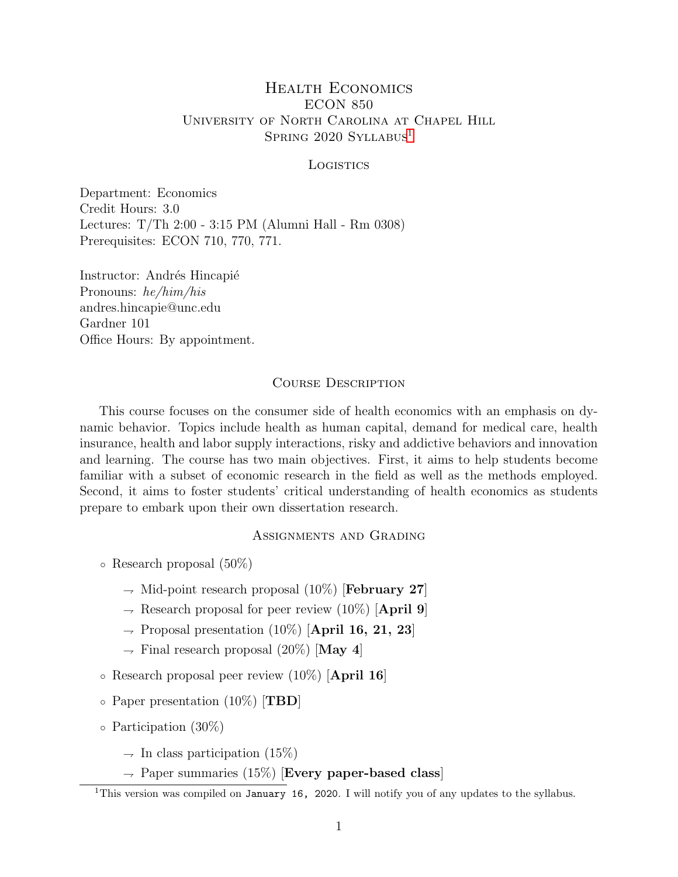## Health Economics ECON 850 University of North Carolina at Chapel Hill SPRING 2020 SYLLABUS<sup>[1](#page-0-0)</sup>

#### **LOGISTICS**

Department: Economics Credit Hours: 3.0 Lectures: T/Th 2:00 - 3:15 PM (Alumni Hall - Rm 0308) Prerequisites: ECON 710, 770, 771.

Instructor: Andrés Hincapié Pronouns: he/him/his andres.hincapie@unc.edu Gardner 101 Office Hours: By appointment.

## Course Description

This course focuses on the consumer side of health economics with an emphasis on dynamic behavior. Topics include health as human capital, demand for medical care, health insurance, health and labor supply interactions, risky and addictive behaviors and innovation and learning. The course has two main objectives. First, it aims to help students become familiar with a subset of economic research in the field as well as the methods employed. Second, it aims to foster students' critical understanding of health economics as students prepare to embark upon their own dissertation research.

## Assignments and Grading

- Research proposal (50%)
	- $\rightarrow$  Mid-point research proposal (10%) [February 27]
	- $\rightarrow$  Research proposal for peer review (10%) [April 9]
	- $\rightarrow$  Proposal presentation (10%) [April 16, 21, 23]
	- $\rightarrow$  Final research proposal (20%) [May 4]
- Research proposal peer review (10%) [April 16]
- $\circ$  Paper presentation (10%) [TBD]
- Participation (30%)
	- $\rightarrow$  In class participation (15%)
	- $\rightarrow$  Paper summaries (15%) [Every paper-based class]

<span id="page-0-0"></span><sup>&</sup>lt;sup>1</sup>This version was compiled on January 16, 2020. I will notify you of any updates to the syllabus.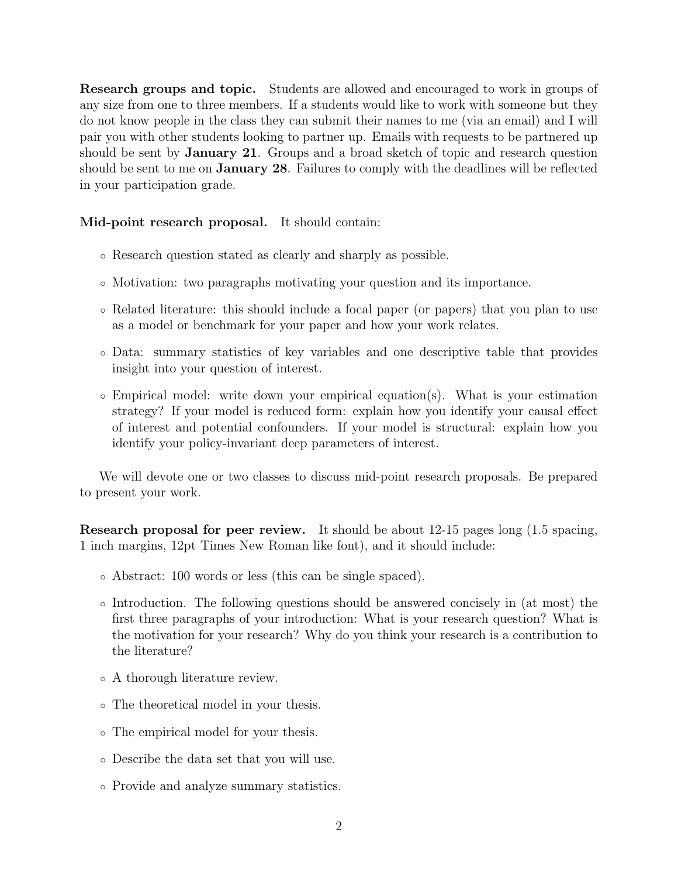Research groups and topic. Students are allowed and encouraged to work in groups of any size from one to three members. If a students would like to work with someone but they do not know people in the class they can submit their names to me (via an email) and I will pair you with other students looking to partner up. Emails with requests to be partnered up should be sent by **January 21**. Groups and a broad sketch of topic and research question should be sent to me on January 28. Failures to comply with the deadlines will be reflected in your participation grade.

Mid-point research proposal. It should contain:

- Research question stated as clearly and sharply as possible.
- Motivation: two paragraphs motivating your question and its importance.
- Related literature: this should include a focal paper (or papers) that you plan to use as a model or benchmark for your paper and how your work relates.
- Data: summary statistics of key variables and one descriptive table that provides insight into your question of interest.
- Empirical model: write down your empirical equation(s). What is your estimation strategy? If your model is reduced form: explain how you identify your causal effect of interest and potential confounders. If your model is structural: explain how you identify your policy-invariant deep parameters of interest.

We will devote one or two classes to discuss mid-point research proposals. Be prepared to present your work.

Research proposal for peer review. It should be about 12-15 pages long (1.5 spacing, 1 inch margins, 12pt Times New Roman like font), and it should include:

- Abstract: 100 words or less (this can be single spaced).
- Introduction. The following questions should be answered concisely in (at most) the first three paragraphs of your introduction: What is your research question? What is the motivation for your research? Why do you think your research is a contribution to the literature?
- A thorough literature review.
- The theoretical model in your thesis.
- The empirical model for your thesis.
- Describe the data set that you will use.
- Provide and analyze summary statistics.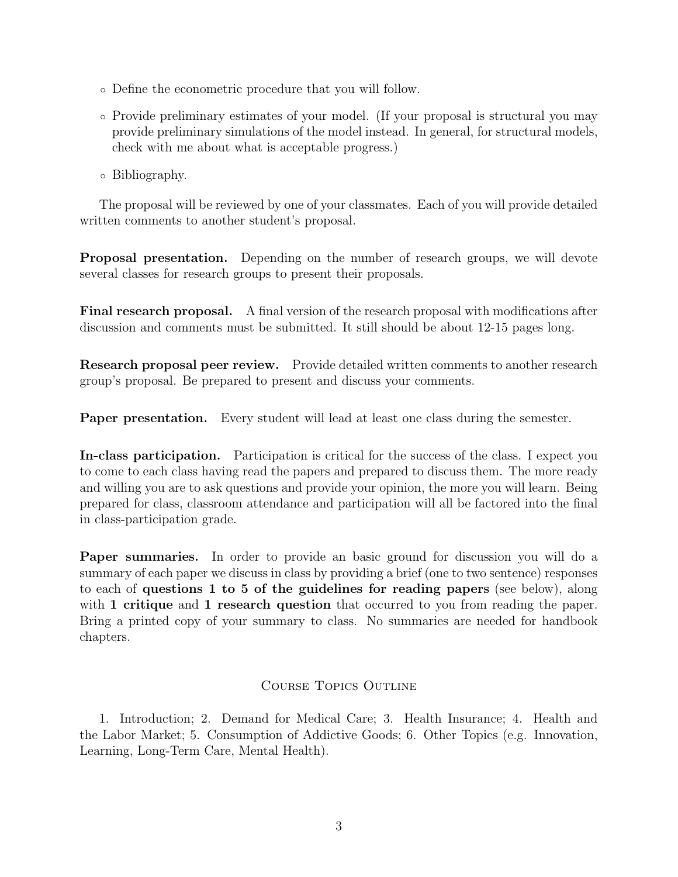- Define the econometric procedure that you will follow.
- Provide preliminary estimates of your model. (If your proposal is structural you may provide preliminary simulations of the model instead. In general, for structural models, check with me about what is acceptable progress.)
- Bibliography.

The proposal will be reviewed by one of your classmates. Each of you will provide detailed written comments to another student's proposal.

Proposal presentation. Depending on the number of research groups, we will devote several classes for research groups to present their proposals.

Final research proposal. A final version of the research proposal with modifications after discussion and comments must be submitted. It still should be about 12-15 pages long.

Research proposal peer review. Provide detailed written comments to another research group's proposal. Be prepared to present and discuss your comments.

Paper presentation. Every student will lead at least one class during the semester.

In-class participation. Participation is critical for the success of the class. I expect you to come to each class having read the papers and prepared to discuss them. The more ready and willing you are to ask questions and provide your opinion, the more you will learn. Being prepared for class, classroom attendance and participation will all be factored into the final in class-participation grade.

Paper summaries. In order to provide an basic ground for discussion you will do a summary of each paper we discuss in class by providing a brief (one to two sentence) responses to each of questions 1 to 5 of the guidelines for reading papers (see below), along with 1 critique and 1 research question that occurred to you from reading the paper. Bring a printed copy of your summary to class. No summaries are needed for handbook chapters.

## Course Topics Outline

1. Introduction; 2. Demand for Medical Care; 3. Health Insurance; 4. Health and the Labor Market; 5. Consumption of Addictive Goods; 6. Other Topics (e.g. Innovation, Learning, Long-Term Care, Mental Health).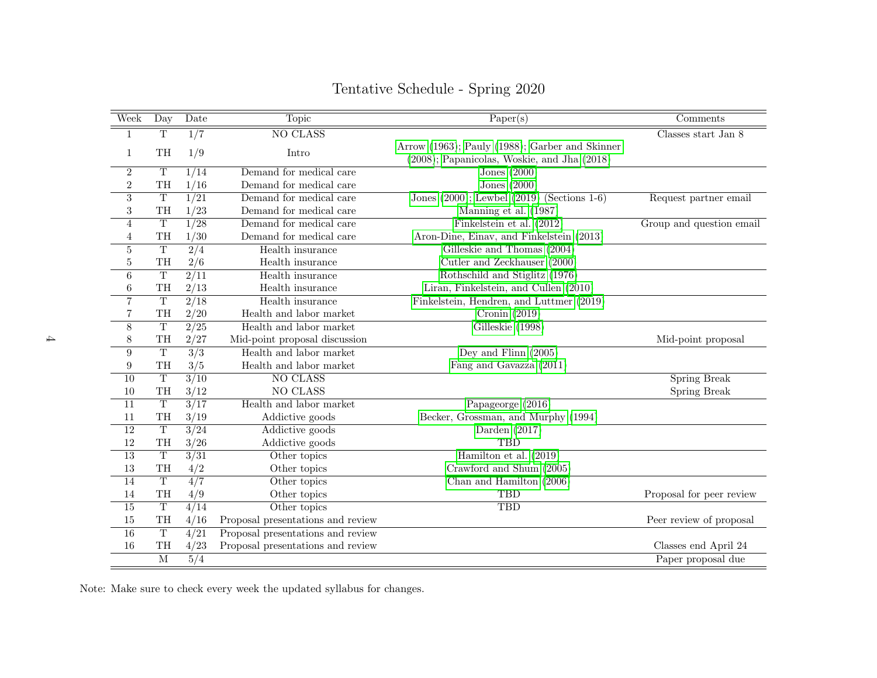| Week            | Day                     | <b>Date</b>      | <b>Topic</b>                      | Paper(s)                                        | Comments                 |
|-----------------|-------------------------|------------------|-----------------------------------|-------------------------------------------------|--------------------------|
| $\mathbf{1}$    | $\overline{T}$          | $\overline{1/7}$ | <b>NO CLASS</b>                   |                                                 | Classes start Jan 8      |
| $\mathbf{1}$    | TH                      | 1/9              | Intro                             | Arrow (1963); Pauly (1988); Garber and Skinner  |                          |
|                 |                         |                  |                                   | (2008); Papanicolas, Woskie, and Jha (2018)     |                          |
| $\overline{2}$  | $\overline{T}$          | 1/14             | Demand for medical care           | Jones $(2000)$                                  |                          |
| $\,2$           | TH                      | 1/16             | Demand for medical care           | Jones $(2000)$                                  |                          |
| 3               | $\overline{T}$          | 1/21             | Demand for medical care           | Jones $(2000)$ ; Lewbel $(2019)$ (Sections 1-6) | Request partner email    |
| $\sqrt{3}$      | TH                      | 1/23             | Demand for medical care           | Manning et al. (1987)                           |                          |
| $\overline{4}$  | $\overline{\mathrm{T}}$ | $\frac{1}{28}$   | Demand for medical care           | Finkelstein et al. (2012)                       | Group and question email |
| $\overline{4}$  | TH                      | 1/30             | Demand for medical care           | Aron-Dine, Einav, and Finkelstein (2013)        |                          |
| $\overline{5}$  | $\overline{T}$          | $\sqrt{2/4}$     | Health insurance                  | Gilleskie and Thomas (2004)                     |                          |
| 5               | TH                      | 2/6              | Health insurance                  | Cutler and Zeckhauser (2000)                    |                          |
| 6               | $\overline{T}$          | $\frac{2}{11}$   | Health insurance                  | Rothschild and Stiglitz (1976)                  |                          |
| $\,6$           | TH                      | 2/13             | Health insurance                  | Liran, Finkelstein, and Cullen (2010)           |                          |
| $\overline{7}$  | $\overline{\mathrm{T}}$ | $\frac{2}{18}$   | Health insurance                  | Finkelstein, Hendren, and Luttmer (2019)        |                          |
| $\overline{7}$  | TH                      | 2/20             | Health and labor market           | Cronin $(2019)$                                 |                          |
| $\overline{8}$  | $\overline{T}$          | $\sqrt{2/25}$    | Health and labor market           | Gilleskie (1998)                                |                          |
| $8\,$           | TH                      | 2/27             | Mid-point proposal discussion     |                                                 | Mid-point proposal       |
| 9               | $\overline{T}$          | $\overline{3/3}$ | Health and labor market           | Dey and Flinn $(2005)$                          |                          |
| 9               | TH                      | 3/5              | Health and labor market           | Fang and Gavazza (2011)                         |                          |
| 10              | $\overline{\text{T}}$   | $\frac{3}{10}$   | <b>NO CLASS</b>                   |                                                 | Spring Break             |
| 10              | TH                      | 3/12             | NO CLASS                          |                                                 | Spring Break             |
| 11              | $\overline{T}$          | $\frac{3}{17}$   | Health and labor market           | Papageorge (2016)                               |                          |
| 11              | $\operatorname{TH}$     | 3/19             | Addictive goods                   | Becker, Grossman, and Murphy (1994)             |                          |
| $\overline{12}$ | $\overline{T}$          | 3/24             | Addictive goods                   | Darden $(2017)$                                 |                          |
| 12              | TH                      | 3/26             | Addictive goods                   | <b>TBD</b>                                      |                          |
| 13              | $\overline{T}$          | 3/31             | Other topics                      | Hamilton et al. $(2019)$                        |                          |
| 13              | TH                      | 4/2              | Other topics                      | Crawford and Shum (2005)                        |                          |
| 14              | $\overline{T}$          | 4/7              | Other topics                      | Chan and Hamilton $(2006)$                      |                          |
| 14              | TH                      | 4/9              | Other topics                      | <b>TBD</b>                                      | Proposal for peer review |
| 15              | $\overline{T}$          | 4/14             | Other topics                      | <b>TBD</b>                                      |                          |
| 15              | TH                      | 4/16             | Proposal presentations and review |                                                 | Peer review of proposal  |
| 16              | $\mathbf T$             | 4/21             | Proposal presentations and review |                                                 |                          |
| 16              | TH                      | 4/23             | Proposal presentations and review |                                                 | Classes end April 24     |
|                 | $\overline{\mathbf{M}}$ | 5/4              |                                   |                                                 | Paper proposal due       |

# Tentative Schedule - Spring 2020

Note: Make sure to check every week the updated syllabus for changes.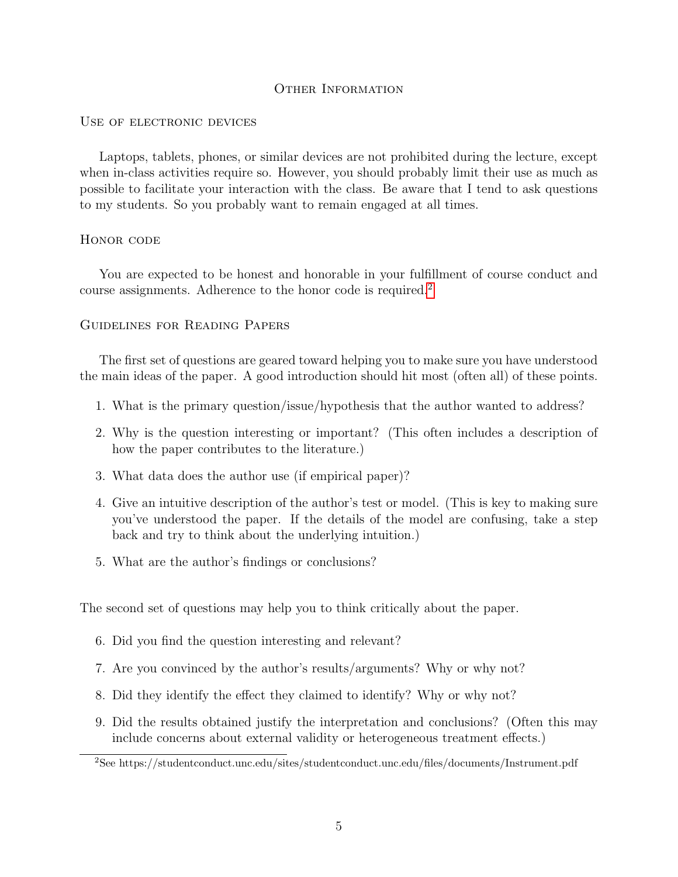## OTHER INFORMATION

#### USE OF ELECTRONIC DEVICES

Laptops, tablets, phones, or similar devices are not prohibited during the lecture, except when in-class activities require so. However, you should probably limit their use as much as possible to facilitate your interaction with the class. Be aware that I tend to ask questions to my students. So you probably want to remain engaged at all times.

#### HONOR CODE

You are expected to be honest and honorable in your fulfillment of course conduct and course assignments. Adherence to the honor code is required.<sup>[2](#page-4-0)</sup>

## Guidelines for Reading Papers

The first set of questions are geared toward helping you to make sure you have understood the main ideas of the paper. A good introduction should hit most (often all) of these points.

- 1. What is the primary question/issue/hypothesis that the author wanted to address?
- 2. Why is the question interesting or important? (This often includes a description of how the paper contributes to the literature.)
- 3. What data does the author use (if empirical paper)?
- 4. Give an intuitive description of the author's test or model. (This is key to making sure you've understood the paper. If the details of the model are confusing, take a step back and try to think about the underlying intuition.)
- 5. What are the author's findings or conclusions?

The second set of questions may help you to think critically about the paper.

- 6. Did you find the question interesting and relevant?
- 7. Are you convinced by the author's results/arguments? Why or why not?
- 8. Did they identify the effect they claimed to identify? Why or why not?
- 9. Did the results obtained justify the interpretation and conclusions? (Often this may include concerns about external validity or heterogeneous treatment effects.)

<span id="page-4-0"></span><sup>2</sup>See https://studentconduct.unc.edu/sites/studentconduct.unc.edu/files/documents/Instrument.pdf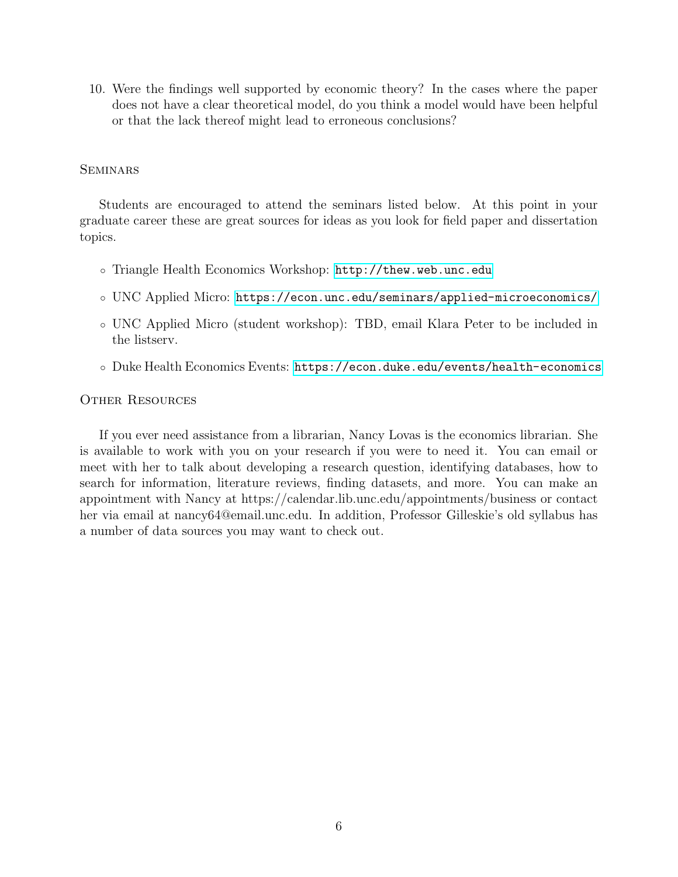10. Were the findings well supported by economic theory? In the cases where the paper does not have a clear theoretical model, do you think a model would have been helpful or that the lack thereof might lead to erroneous conclusions?

## **SEMINARS**

Students are encouraged to attend the seminars listed below. At this point in your graduate career these are great sources for ideas as you look for field paper and dissertation topics.

- Triangle Health Economics Workshop: <http://thew.web.unc.edu>
- UNC Applied Micro: <https://econ.unc.edu/seminars/applied-microeconomics/>
- UNC Applied Micro (student workshop): TBD, email Klara Peter to be included in the listserv.
- Duke Health Economics Events: <https://econ.duke.edu/events/health-economics>

#### Other Resources

If you ever need assistance from a librarian, Nancy Lovas is the economics librarian. She is available to work with you on your research if you were to need it. You can email or meet with her to talk about developing a research question, identifying databases, how to search for information, literature reviews, finding datasets, and more. You can make an appointment with Nancy at https://calendar.lib.unc.edu/appointments/business or contact her via email at nancy64@email.unc.edu. In addition, Professor Gilleskie's old syllabus has a number of data sources you may want to check out.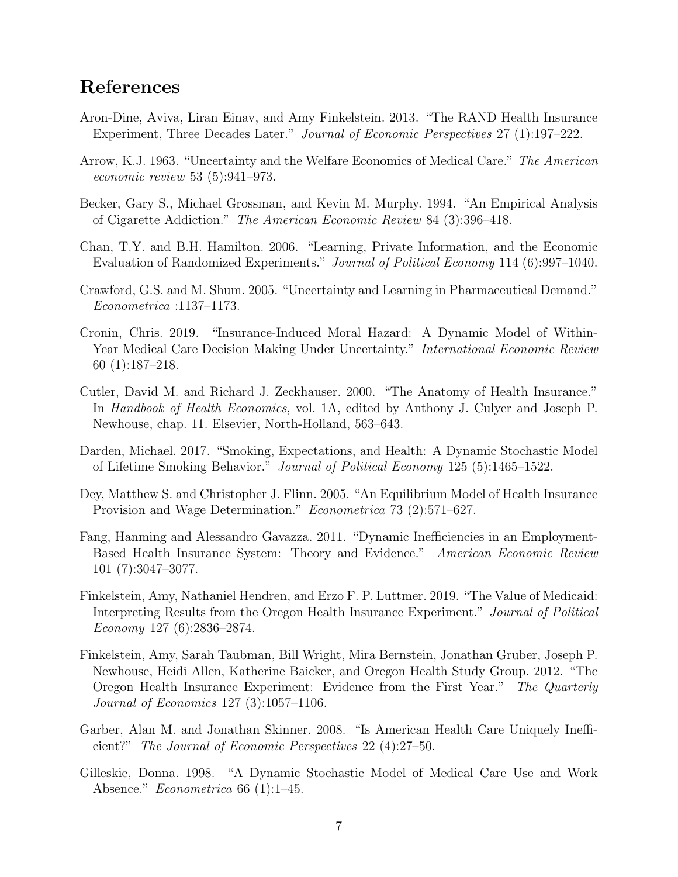## <span id="page-6-13"></span><span id="page-6-12"></span><span id="page-6-11"></span><span id="page-6-10"></span><span id="page-6-9"></span><span id="page-6-8"></span><span id="page-6-7"></span><span id="page-6-6"></span><span id="page-6-5"></span><span id="page-6-4"></span><span id="page-6-3"></span><span id="page-6-2"></span><span id="page-6-1"></span><span id="page-6-0"></span>References

- Aron-Dine, Aviva, Liran Einav, and Amy Finkelstein. 2013. "The RAND Health Insurance Experiment, Three Decades Later." Journal of Economic Perspectives 27 (1):197–222.
- Arrow, K.J. 1963. "Uncertainty and the Welfare Economics of Medical Care." The American economic review 53 (5):941–973.
- Becker, Gary S., Michael Grossman, and Kevin M. Murphy. 1994. "An Empirical Analysis of Cigarette Addiction." The American Economic Review 84 (3):396–418.
- Chan, T.Y. and B.H. Hamilton. 2006. "Learning, Private Information, and the Economic Evaluation of Randomized Experiments." Journal of Political Economy 114 (6):997–1040.
- Crawford, G.S. and M. Shum. 2005. "Uncertainty and Learning in Pharmaceutical Demand." Econometrica :1137–1173.
- Cronin, Chris. 2019. "Insurance-Induced Moral Hazard: A Dynamic Model of Within-Year Medical Care Decision Making Under Uncertainty." International Economic Review 60 (1):187–218.
- Cutler, David M. and Richard J. Zeckhauser. 2000. "The Anatomy of Health Insurance." In Handbook of Health Economics, vol. 1A, edited by Anthony J. Culyer and Joseph P. Newhouse, chap. 11. Elsevier, North-Holland, 563–643.
- Darden, Michael. 2017. "Smoking, Expectations, and Health: A Dynamic Stochastic Model of Lifetime Smoking Behavior." Journal of Political Economy 125 (5):1465–1522.
- Dey, Matthew S. and Christopher J. Flinn. 2005. "An Equilibrium Model of Health Insurance Provision and Wage Determination." Econometrica 73 (2):571–627.
- Fang, Hanming and Alessandro Gavazza. 2011. "Dynamic Inefficiencies in an Employment-Based Health Insurance System: Theory and Evidence." American Economic Review 101 (7):3047–3077.
- Finkelstein, Amy, Nathaniel Hendren, and Erzo F. P. Luttmer. 2019. "The Value of Medicaid: Interpreting Results from the Oregon Health Insurance Experiment." Journal of Political Economy 127 (6):2836–2874.
- Finkelstein, Amy, Sarah Taubman, Bill Wright, Mira Bernstein, Jonathan Gruber, Joseph P. Newhouse, Heidi Allen, Katherine Baicker, and Oregon Health Study Group. 2012. "The Oregon Health Insurance Experiment: Evidence from the First Year." The Quarterly Journal of Economics 127 (3):1057–1106.
- Garber, Alan M. and Jonathan Skinner. 2008. "Is American Health Care Uniquely Inefficient?" The Journal of Economic Perspectives 22 (4):27–50.
- Gilleskie, Donna. 1998. "A Dynamic Stochastic Model of Medical Care Use and Work Absence." Econometrica 66 (1):1–45.